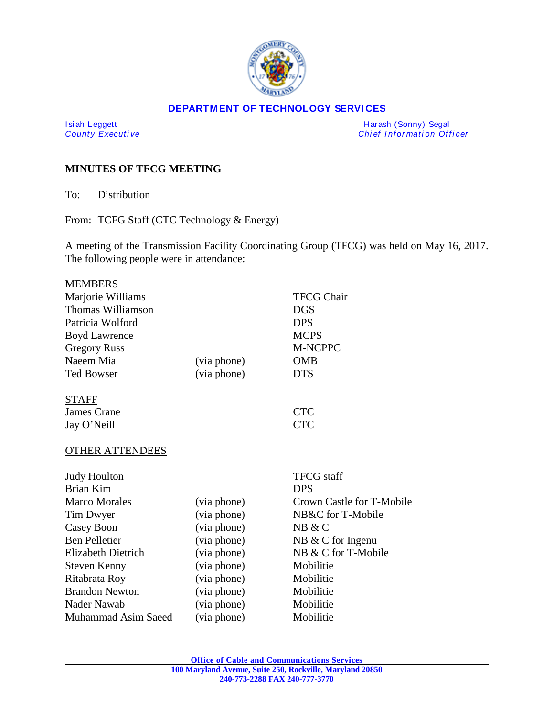

#### **DEPARTMENT OF TECHNOLOGY SERVICES**

I si ah Leggett Harash (Sonny) Segal *Chief Information Officer* 

# **MINUTES OF TFCG MEETING**

To: Distribution

From: TCFG Staff (CTC Technology & Energy)

A meeting of the Transmission Facility Coordinating Group (TFCG) was held on May 16, 2017. The following people were in attendance:

| <b>MEMBERS</b>             |             |                           |
|----------------------------|-------------|---------------------------|
| Marjorie Williams          |             | <b>TFCG Chair</b>         |
| Thomas Williamson          |             | <b>DGS</b>                |
| Patricia Wolford           |             | <b>DPS</b>                |
| <b>Boyd Lawrence</b>       |             | <b>MCPS</b>               |
| <b>Gregory Russ</b>        |             | M-NCPPC                   |
| Naeem Mia                  | (via phone) | <b>OMB</b>                |
| <b>Ted Bowser</b>          | (via phone) | <b>DTS</b>                |
| <b>STAFF</b>               |             |                           |
| <b>James Crane</b>         |             | <b>CTC</b>                |
| Jay O'Neill                |             | <b>CTC</b>                |
| <b>OTHER ATTENDEES</b>     |             |                           |
| <b>Judy Houlton</b>        |             | <b>TFCG</b> staff         |
| <b>Brian Kim</b>           |             | <b>DPS</b>                |
| <b>Marco Morales</b>       | (via phone) | Crown Castle for T-Mobile |
| Tim Dwyer                  | (via phone) | NB&C for T-Mobile         |
| Casey Boon                 | (via phone) | NB & C                    |
| <b>Ben Pelletier</b>       | (via phone) | NB & C for Ingenu         |
| <b>Elizabeth Dietrich</b>  | (via phone) | NB & C for T-Mobile       |
| <b>Steven Kenny</b>        | (via phone) | Mobilitie                 |
| Ritabrata Roy              | (via phone) | Mobilitie                 |
| <b>Brandon Newton</b>      | (via phone) | Mobilitie                 |
| Nader Nawab                | (via phone) | Mobilitie                 |
| <b>Muhammad Asim Saeed</b> | (via phone) | Mobilitie                 |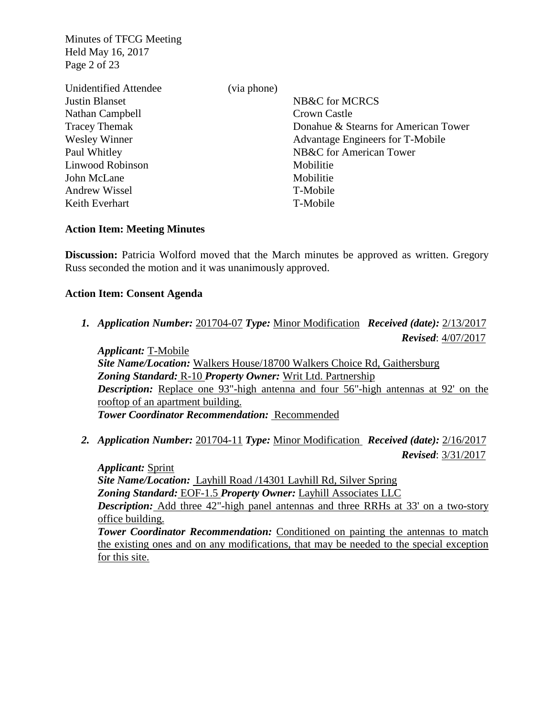Minutes of TFCG Meeting Held May 16, 2017 Page 2 of 23

| Unidentified Attendee | (via phone) |                                      |
|-----------------------|-------------|--------------------------------------|
| <b>Justin Blanset</b> |             | NB&C for MCRCS                       |
| Nathan Campbell       |             | Crown Castle                         |
| <b>Tracey Themak</b>  |             | Donahue & Stearns for American Tower |
| <b>Wesley Winner</b>  |             | Advantage Engineers for T-Mobile     |
| Paul Whitley          |             | NB&C for American Tower              |
| Linwood Robinson      |             | Mobilitie                            |
| John McLane           |             | Mobilitie                            |
| <b>Andrew Wissel</b>  |             | T-Mobile                             |
| Keith Everhart        |             | T-Mobile                             |

### **Action Item: Meeting Minutes**

**Discussion:** Patricia Wolford moved that the March minutes be approved as written. Gregory Russ seconded the motion and it was unanimously approved.

### **Action Item: Consent Agenda**

*1. Application Number:* 201704-07 *Type:* Minor Modification *Received (date):* 2/13/2017  *Revised*: 4/07/2017

*Applicant:* T-Mobile *Site Name/Location:* Walkers House/18700 Walkers Choice Rd, Gaithersburg *Zoning Standard:* R-10 *Property Owner:* Writ Ltd. Partnership *Description:* Replace one 93"-high antenna and four 56"-high antennas at 92' on the rooftop of an apartment building. *Tower Coordinator Recommendation:* Recommended

*2. Application Number:* 201704-11 *Type:* Minor Modification *Received (date):* 2/16/2017  *Revised*: 3/31/2017

*Applicant:* Sprint *Site Name/Location:* Layhill Road /14301 Layhill Rd, Silver Spring *Zoning Standard:* EOF-1.5 *Property Owner:* Layhill Associates LLC *Description:* Add three 42"-high panel antennas and three RRHs at 33' on a two-story office building. **Tower Coordinator Recommendation:** Conditioned on painting the antennas to match the existing ones and on any modifications, that may be needed to the special exception for this site.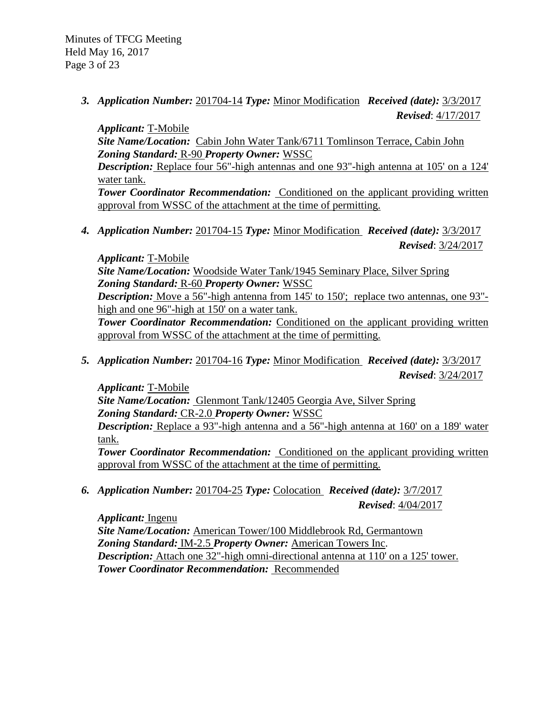*3. Application Number:* 201704-14 *Type:* Minor Modification *Received (date):* 3/3/2017  *Revised*: 4/17/2017

*Applicant:* T-Mobile *Site Name/Location:* Cabin John Water Tank/6711 Tomlinson Terrace, Cabin John *Zoning Standard:* R-90 *Property Owner:* WSSC *Description:* Replace four 56"-high antennas and one 93"-high antenna at 105' on a 124' water tank. **Tower Coordinator Recommendation:** Conditioned on the applicant providing written approval from WSSC of the attachment at the time of permitting.

*4. Application Number:* 201704-15 *Type:* Minor Modification *Received (date):* 3/3/2017  *Revised*: 3/24/2017

*Applicant:* T-Mobile

*Site Name/Location:* Woodside Water Tank/1945 Seminary Place, Silver Spring *Zoning Standard:* R-60 *Property Owner:* WSSC

*Description:* Move a 56"-high antenna from 145' to 150'; replace two antennas, one 93"high and one 96"-high at 150' on a water tank.

*Tower Coordinator Recommendation:* Conditioned on the applicant providing written approval from WSSC of the attachment at the time of permitting.

*5. Application Number:* 201704-16 *Type:* Minor Modification *Received (date):* 3/3/2017  *Revised*: 3/24/2017

*Applicant:* T-Mobile

*Site Name/Location:* Glenmont Tank/12405 Georgia Ave, Silver Spring *Zoning Standard:* CR-2.0 *Property Owner:* WSSC

*Description:* Replace a 93"-high antenna and a 56"-high antenna at 160' on a 189' water tank.

**Tower Coordinator Recommendation:** Conditioned on the applicant providing written approval from WSSC of the attachment at the time of permitting.

*6. Application Number:* 201704-25 *Type:* Colocation *Received (date):* 3/7/2017 *Revised*: 4/04/2017

*Applicant:* Ingenu *Site Name/Location:* American Tower/100 Middlebrook Rd, Germantown *Zoning Standard:* IM-2.5 *Property Owner:* American Towers Inc. *Description:* Attach one 32"-high omni-directional antenna at 110' on a 125' tower. *Tower Coordinator Recommendation:* Recommended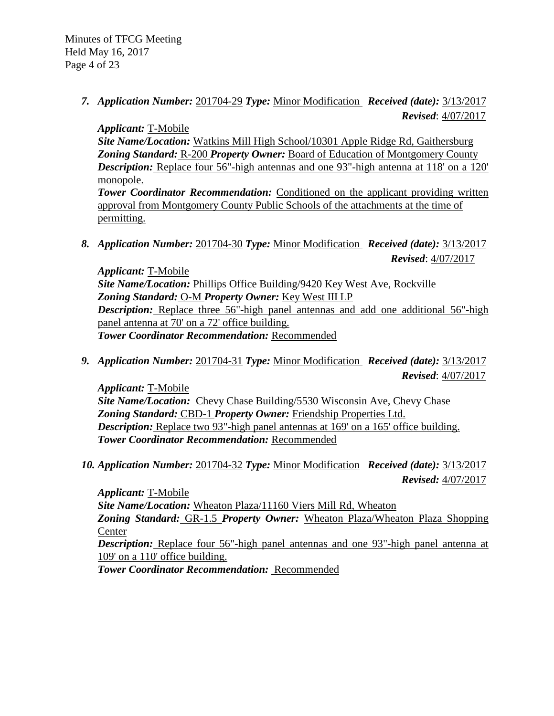# *7. Application Number:* 201704-29 *Type:* Minor Modification *Received (date):* 3/13/2017  *Revised*: 4/07/2017

*Applicant:* T-Mobile

*Site Name/Location:* Watkins Mill High School/10301 Apple Ridge Rd, Gaithersburg *Zoning Standard:* R-200 *Property Owner:* Board of Education of Montgomery County *Description:* Replace four 56"-high antennas and one 93"-high antenna at 118' on a 120' monopole.

**Tower Coordinator Recommendation:** Conditioned on the applicant providing written approval from Montgomery County Public Schools of the attachments at the time of permitting.

*8. Application Number:* 201704-30 *Type:* Minor Modification *Received (date):* 3/13/2017 *Revised*: 4/07/2017

*Applicant:* T-Mobile *Site Name/Location:* Phillips Office Building/9420 Key West Ave, Rockville *Zoning Standard:* O-M *Property Owner:* Key West III LP *Description:* Replace three 56"-high panel antennas and add one additional 56"-high panel antenna at 70' on a 72' office building. *Tower Coordinator Recommendation:* Recommended

*9. Application Number:* 201704-31 *Type:* Minor Modification *Received (date):* 3/13/2017  *Revised*: 4/07/2017

*Applicant:* T-Mobile *Site Name/Location:* Chevy Chase Building/5530 Wisconsin Ave, Chevy Chase *Zoning Standard:* CBD-1 *Property Owner:* Friendship Properties Ltd. *Description:* Replace two 93"-high panel antennas at 169' on a 165' office building. *Tower Coordinator Recommendation:* Recommended

*10. Application Number:* 201704-32 *Type:* Minor Modification *Received (date):* 3/13/2017  *Revised:* 4/07/2017

*Applicant:* T-Mobile *Site Name/Location:* Wheaton Plaza/11160 Viers Mill Rd, Wheaton *Zoning Standard:* GR-1.5 *Property Owner:* Wheaton Plaza/Wheaton Plaza Shopping **Center** *Description:* Replace four 56"-high panel antennas and one 93"-high panel antenna at 109' on a 110' office building.

*Tower Coordinator Recommendation:* Recommended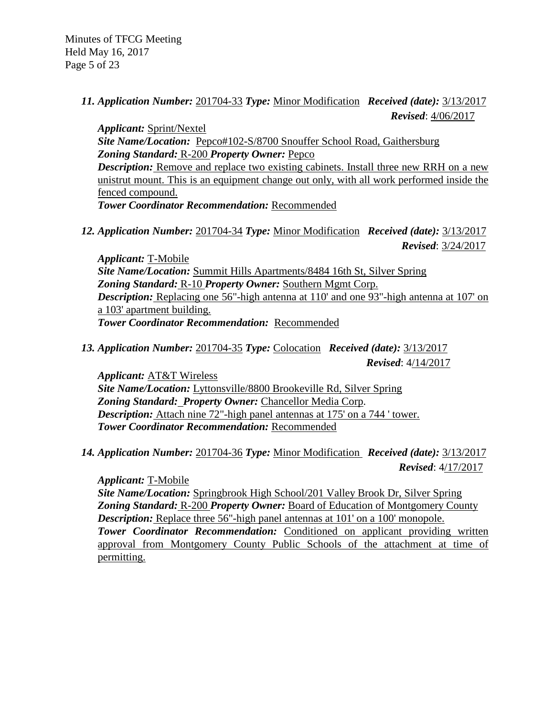*11. Application Number:* 201704-33 *Type:* Minor Modification *Received (date):* 3/13/2017 *Revised*: 4/06/2017

*Applicant:* Sprint/Nextel *Site Name/Location:* Pepco#102-S/8700 Snouffer School Road, Gaithersburg *Zoning Standard:* R-200 *Property Owner:* Pepco *Description:* Remove and replace two existing cabinets. Install three new RRH on a new unistrut mount. This is an equipment change out only, with all work performed inside the fenced compound. *Tower Coordinator Recommendation:* Recommended

*12. Application Number:* 201704-34 *Type:* Minor Modification *Received (date):* 3/13/2017  *Revised*: 3/24/2017

*Applicant:* T-Mobile *Site Name/Location:* Summit Hills Apartments/8484 16th St, Silver Spring *Zoning Standard:* R-10 *Property Owner:* Southern Mgmt Corp. *Description:* Replacing one 56"-high antenna at 110' and one 93"-high antenna at 107' on a 103' apartment building. *Tower Coordinator Recommendation:* Recommended

*13. Application Number:* 201704-35 *Type:* Colocation *Received (date):* 3/13/2017  *Revised*: 4/14/2017

*Applicant:* AT&T Wireless *Site Name/Location:* Lyttonsville/8800 Brookeville Rd, Silver Spring *Zoning Standard: Property Owner:* Chancellor Media Corp. *Description:* Attach nine 72"-high panel antennas at 175' on a 744 ' tower. *Tower Coordinator Recommendation:* Recommended

*14. Application Number:* 201704-36 *Type:* Minor Modification *Received (date):* 3/13/2017  *Revised*: 4/17/2017

*Applicant:* T-Mobile

*Site Name/Location:* Springbrook High School/201 Valley Brook Dr, Silver Spring *Zoning Standard:* R-200 *Property Owner:* Board of Education of Montgomery County *Description:* Replace three 56"-high panel antennas at 101' on a 100' monopole. *Tower Coordinator Recommendation:* Conditioned on applicant providing written approval from Montgomery County Public Schools of the attachment at time of permitting.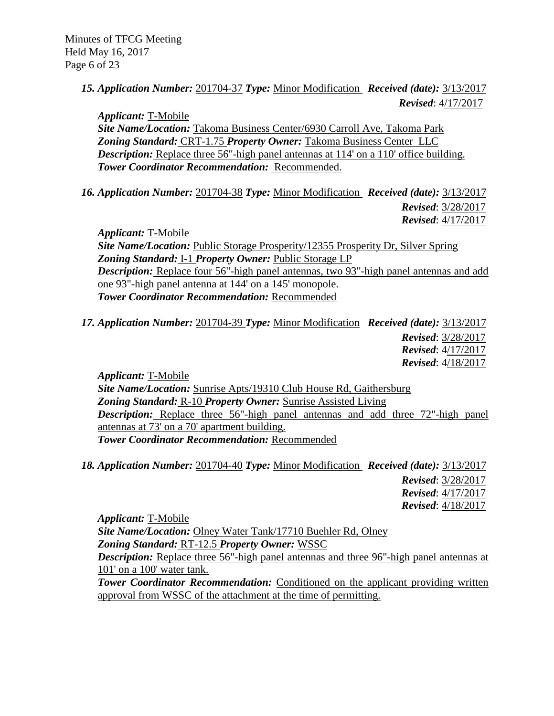# *15. Application Number:* 201704-37 *Type:* Minor Modification *Received (date):* 3/13/2017  *Revised*: 4/17/2017

*Applicant:* T-Mobile *Site Name/Location:* Takoma Business Center/6930 Carroll Ave, Takoma Park *Zoning Standard:* CRT-1.75 *Property Owner:* Takoma Business Center LLC *Description:* Replace three 56"-high panel antennas at 114' on a 110' office building. *Tower Coordinator Recommendation:* Recommended.

*16. Application Number:* 201704-38 *Type:* Minor Modification *Received (date):* 3/13/2017  *Revised*: 3/28/2017  *Revised*: 4/17/2017

*Applicant:* T-Mobile *Site Name/Location:* Public Storage Prosperity/12355 Prosperity Dr, Silver Spring *Zoning Standard:* I-1 *Property Owner:* Public Storage LP *Description:* Replace four 56"-high panel antennas, two 93"-high panel antennas and add one 93"-high panel antenna at 144' on a 145' monopole. *Tower Coordinator Recommendation:* Recommended

*17. Application Number:* 201704-39 *Type:* Minor Modification *Received (date):* 3/13/2017  *Revised*: 3/28/2017  *Revised*: 4/17/2017 *Revised*: 4/18/2017

*Applicant:* T-Mobile *Site Name/Location:* Sunrise Apts/19310 Club House Rd, Gaithersburg *Zoning Standard:* R-10 *Property Owner:* Sunrise Assisted Living *Description:* Replace three 56"-high panel antennas and add three 72"-high panel antennas at 73' on a 70' apartment building. *Tower Coordinator Recommendation:* Recommended

*18. Application Number:* 201704-40 *Type:* Minor Modification *Received (date):* 3/13/2017

 *Revised*: 3/28/2017  *Revised*: 4/17/2017 *Revised*: 4/18/2017

*Applicant:* T-Mobile *Site Name/Location:* Olney Water Tank/17710 Buehler Rd, Olney *Zoning Standard:* RT-12.5 *Property Owner:* WSSC *Description:* Replace three 56"-high panel antennas and three 96"-high panel antennas at 101' on a 100' water tank. *Tower Coordinator Recommendation:* Conditioned on the applicant providing written

approval from WSSC of the attachment at the time of permitting.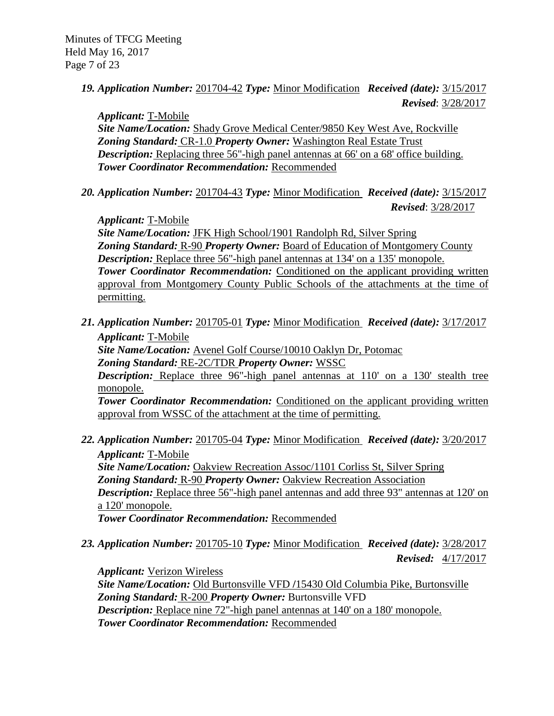*19. Application Number:* 201704-42 *Type:* Minor Modification *Received (date):* 3/15/2017  *Revised*: 3/28/2017

*Applicant:* T-Mobile

*Site Name/Location:* Shady Grove Medical Center/9850 Key West Ave, Rockville *Zoning Standard:* CR-1.0 *Property Owner:* Washington Real Estate Trust *Description:* Replacing three 56"-high panel antennas at 66' on a 68' office building. *Tower Coordinator Recommendation:* Recommended

*20. Application Number:* 201704-43 *Type:* Minor Modification *Received (date):* 3/15/2017 *Revised*: 3/28/2017

*Applicant:* T-Mobile

*Site Name/Location:* JFK High School/1901 Randolph Rd, Silver Spring *Zoning Standard:* R-90 *Property Owner:* Board of Education of Montgomery County *Description:* Replace three 56"-high panel antennas at 134' on a 135' monopole. *Tower Coordinator Recommendation:* Conditioned on the applicant providing written approval from Montgomery County Public Schools of the attachments at the time of permitting.

*21. Application Number:* 201705-01 *Type:* Minor Modification *Received (date):* 3/17/2017 *Applicant:* T-Mobile *Site Name/Location:* Avenel Golf Course/10010 Oaklyn Dr, Potomac *Zoning Standard:* RE-2C/TDR *Property Owner:* WSSC

*Description:* Replace three 96"-high panel antennas at 110' on a 130' stealth tree monopole.

*Tower Coordinator Recommendation:* Conditioned on the applicant providing written approval from WSSC of the attachment at the time of permitting.

- *22. Application Number:* 201705-04 *Type:* Minor Modification *Received (date):* 3/20/2017 *Applicant:* T-Mobile *Site Name/Location:* Oakview Recreation Assoc/1101 Corliss St, Silver Spring *Zoning Standard:* R-90 *Property Owner:* Oakview Recreation Association *Description:* Replace three 56"-high panel antennas and add three 93" antennas at 120' on a 120' monopole. *Tower Coordinator Recommendation:* Recommended
- *23. Application Number:* 201705-10 *Type:* Minor Modification *Received (date):* 3/28/2017  *Revised:* 4/17/2017

*Applicant:* Verizon Wireless *Site Name/Location:* Old Burtonsville VFD **/**15430 Old Columbia Pike, Burtonsville *Zoning Standard:* R-200 *Property Owner:* Burtonsville VFD *Description:* Replace nine 72"-high panel antennas at 140' on a 180' monopole.

*Tower Coordinator Recommendation:* Recommended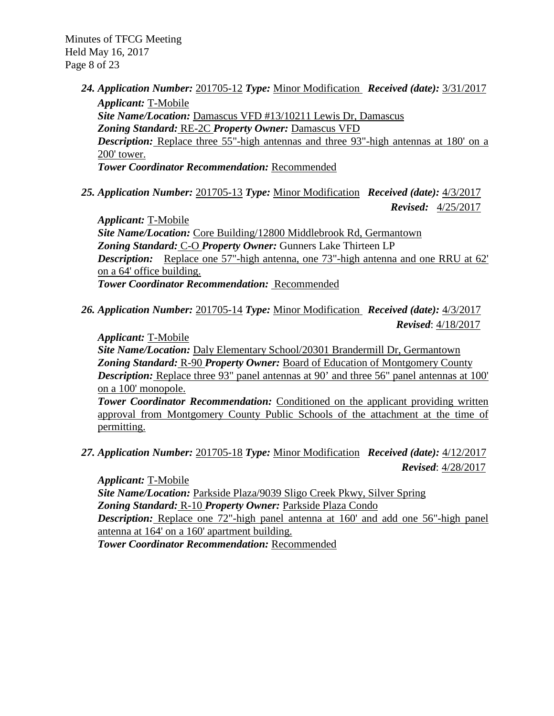Minutes of TFCG Meeting Held May 16, 2017 Page 8 of 23

> *24. Application Number:* 201705-12 *Type:* Minor Modification *Received (date):* 3/31/2017 *Applicant:* T-Mobile *Site Name/Location:* Damascus VFD #13/10211 Lewis Dr, Damascus *Zoning Standard:* RE-2C *Property Owner:* Damascus VFD *Description:* Replace three 55"-high antennas and three 93"-high antennas at 180' on a 200' tower.

*Tower Coordinator Recommendation:* Recommended

*25. Application Number:* 201705-13 *Type:* Minor Modification *Received (date):* 4/3/2017

*Revised:* 4/25/2017

*Applicant:* T-Mobile *Site Name/Location:* Core Building/12800 Middlebrook Rd, Germantown *Zoning Standard:* C-O *Property Owner:* Gunners Lake Thirteen LP *Description:* Replace one 57"-high antenna, one 73"-high antenna and one RRU at 62' on a 64' office building. *Tower Coordinator Recommendation:* Recommended

*26. Application Number:* 201705-14 *Type:* Minor Modification *Received (date):* 4/3/2017  *Revised*: 4/18/2017

## *Applicant:* T-Mobile

*Site Name/Location:* Daly Elementary School/20301 Brandermill Dr, Germantown *Zoning Standard:* R-90 *Property Owner:* Board of Education of Montgomery County *Description:* Replace three 93" panel antennas at 90' and three 56" panel antennas at 100' on a 100' monopole.

**Tower Coordinator Recommendation:** Conditioned on the applicant providing written approval from Montgomery County Public Schools of the attachment at the time of permitting.

*27. Application Number:* 201705-18 *Type:* Minor Modification *Received (date):* 4/12/2017  *Revised*: 4/28/2017

*Applicant:* T-Mobile *Site Name/Location:* Parkside Plaza/9039 Sligo Creek Pkwy, Silver Spring *Zoning Standard:* R-10 *Property Owner:* Parkside Plaza Condo *Description:* Replace one 72"-high panel antenna at 160' and add one 56"-high panel antenna at 164' on a 160' apartment building. *Tower Coordinator Recommendation:* Recommended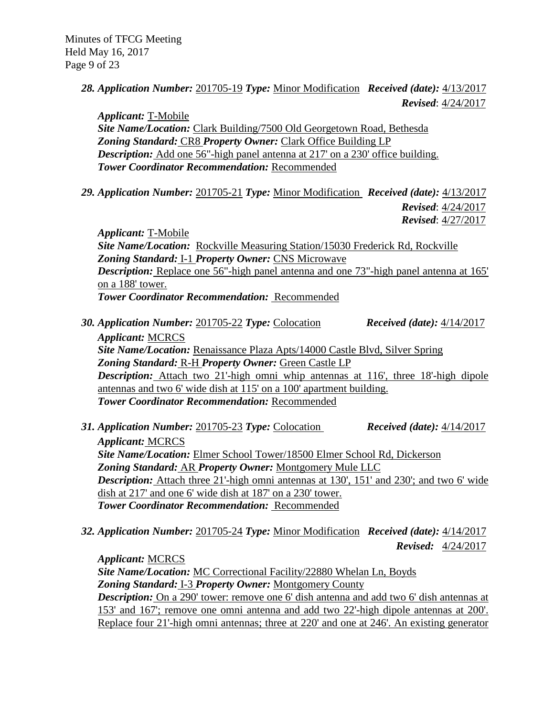*28. Application Number:* 201705-19 *Type:* Minor Modification *Received (date):* 4/13/2017  *Revised*: 4/24/2017

*Applicant:* T-Mobile *Site Name/Location:* Clark Building/7500 Old Georgetown Road, Bethesda *Zoning Standard:* CR8 *Property Owner:* Clark Office Building LP *Description:* Add one 56"-high panel antenna at 217' on a 230' office building. *Tower Coordinator Recommendation:* Recommended

*29. Application Number:* 201705-21 *Type:* Minor Modification *Received (date):* 4/13/2017

 *Revised*: 4/24/2017

 *Revised*: 4/27/2017

*Applicant:* T-Mobile *Site Name/Location:* Rockville Measuring Station/15030 Frederick Rd, Rockville *Zoning Standard:* I-1 *Property Owner:* CNS Microwave *Description:* Replace one 56"-high panel antenna and one 73"-high panel antenna at 165' on a 188' tower. *Tower Coordinator Recommendation:* Recommended

- *30. Application Number:* 201705-22 *Type:* Colocation *Received (date):* 4/14/2017 *Applicant:* MCRCS *Site Name/Location:* Renaissance Plaza Apts/14000 Castle Blvd, Silver Spring *Zoning Standard:* R-H *Property Owner:* Green Castle LP *Description:* Attach two 21'-high omni whip antennas at 116', three 18'-high dipole antennas and two 6' wide dish at 115' on a 100' apartment building. *Tower Coordinator Recommendation:* Recommended
- *31. Application Number:* 201705-23 *Type:* Colocation *Received (date):* 4/14/2017 *Applicant:* MCRCS *Site Name/Location:* Elmer School Tower/18500 Elmer School Rd, Dickerson *Zoning Standard:* AR *Property Owner:* Montgomery Mule LLC *Description:* Attach three 21'-high omni antennas at 130', 151' and 230'; and two 6' wide dish at 217' and one 6' wide dish at 187' on a 230' tower. *Tower Coordinator Recommendation:* Recommended
- *32. Application Number:* 201705-24 *Type:* Minor Modification *Received (date):* 4/14/2017  *Revised:* 4/24/2017

*Applicant:* MCRCS *Site Name/Location:* MC Correctional Facility/22880 Whelan Ln, Boyds *Zoning Standard:* I-3 *Property Owner:* Montgomery County **Description:** On a 290' tower: remove one 6' dish antenna and add two 6' dish antennas at 153' and 167'; remove one omni antenna and add two 22'-high dipole antennas at 200'. Replace four 21'-high omni antennas; three at 220' and one at 246'. An existing generator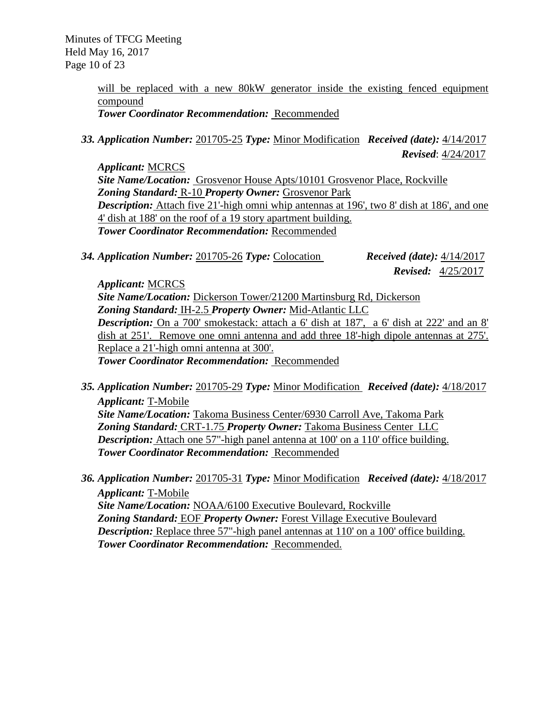Minutes of TFCG Meeting Held May 16, 2017 Page 10 of 23

> will be replaced with a new 80kW generator inside the existing fenced equipment compound

*Tower Coordinator Recommendation:* Recommended

*33. Application Number:* 201705-25 *Type:* Minor Modification *Received (date):* 4/14/2017  *Revised*: 4/24/2017

*Applicant:* MCRCS *Site Name/Location:* Grosvenor House Apts/10101 Grosvenor Place, Rockville *Zoning Standard:* R-10 *Property Owner:* Grosvenor Park **Description:** Attach five 21'-high omni whip antennas at 196', two 8' dish at 186', and one 4' dish at 188' on the roof of a 19 story apartment building. *Tower Coordinator Recommendation:* Recommended

*34. Application Number:* 201705-26 *Type:* Colocation *Received (date):* 4/14/2017

 *Revised:* 4/25/2017

*Applicant:* MCRCS

*Site Name/Location:* Dickerson Tower/21200 Martinsburg Rd, Dickerson *Zoning Standard:* IH-2.5 *Property Owner:* Mid-Atlantic LLC *Description:* On a 700' smokestack: attach a 6' dish at 187', a 6' dish at 222' and an 8' dish at 251'. Remove one omni antenna and add three 18'-high dipole antennas at 275'. Replace a 21'-high omni antenna at 300'. *Tower Coordinator Recommendation:* Recommended

- *35. Application Number:* 201705-29 *Type:* Minor Modification *Received (date):* 4/18/2017 *Applicant:* T-Mobile *Site Name/Location:* Takoma Business Center/6930 Carroll Ave, Takoma Park *Zoning Standard:* CRT-1.75 *Property Owner:* Takoma Business Center LLC *Description:* Attach one 57"-high panel antenna at 100' on a 110' office building. *Tower Coordinator Recommendation:* Recommended
- *36. Application Number:* 201705-31 *Type:* Minor Modification *Received (date):* 4/18/2017 *Applicant:* T-Mobile *Site Name/Location:* NOAA/6100 Executive Boulevard, Rockville *Zoning Standard:* EOF *Property Owner:* Forest Village Executive Boulevard *Description:* Replace three 57"-high panel antennas at 110' on a 100' office building. *Tower Coordinator Recommendation:* Recommended.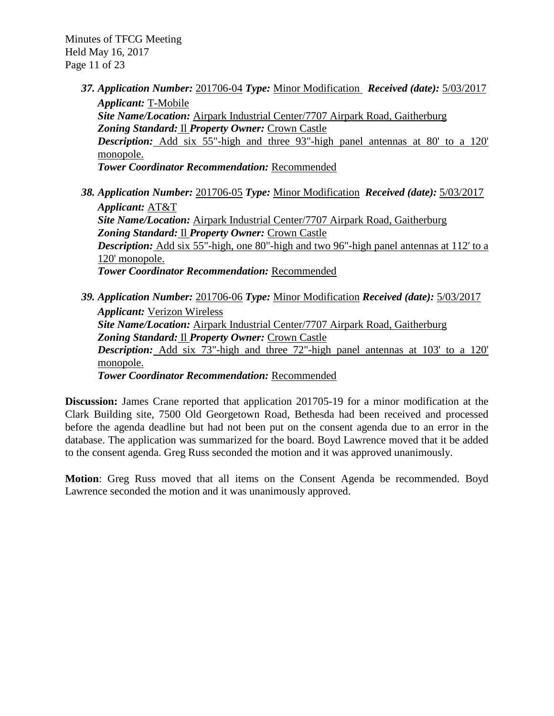Minutes of TFCG Meeting Held May 16, 2017 Page 11 of 23

> *37. Application Number:* 201706-04 *Type:* Minor Modification *Received (date):* 5/03/2017 *Applicant:* T-Mobile *Site Name/Location:* Airpark Industrial Center/7707 Airpark Road, Gaitherburg *Zoning Standard:* Il *Property Owner:* Crown Castle *Description:* Add six 55"-high and three 93"-high panel antennas at 80' to a 120' monopole.

*Tower Coordinator Recommendation:* Recommended

- *38. Application Number:* 201706-05 *Type:* Minor Modification *Received (date):* 5/03/2017 *Applicant:* AT&T *Site Name/Location:* Airpark Industrial Center/7707 Airpark Road, Gaitherburg *Zoning Standard:* Il *Property Owner:* Crown Castle *Description:* Add six 55"-high, one 80"-high and two 96"-high panel antennas at 112' to a 120' monopole. *Tower Coordinator Recommendation:* Recommended
- *39. Application Number:* 201706-06 *Type:* Minor Modification *Received (date):* 5/03/2017 *Applicant:* Verizon Wireless *Site Name/Location:* Airpark Industrial Center/7707 Airpark Road, Gaitherburg *Zoning Standard:* Il *Property Owner:* Crown Castle *Description:* Add six 73"-high and three 72"-high panel antennas at 103' to a 120' monopole. *Tower Coordinator Recommendation:* Recommended

**Discussion:** James Crane reported that application 201705-19 for a minor modification at the Clark Building site, 7500 Old Georgetown Road, Bethesda had been received and processed before the agenda deadline but had not been put on the consent agenda due to an error in the database. The application was summarized for the board. Boyd Lawrence moved that it be added to the consent agenda. Greg Russ seconded the motion and it was approved unanimously.

**Motion**: Greg Russ moved that all items on the Consent Agenda be recommended. Boyd Lawrence seconded the motion and it was unanimously approved.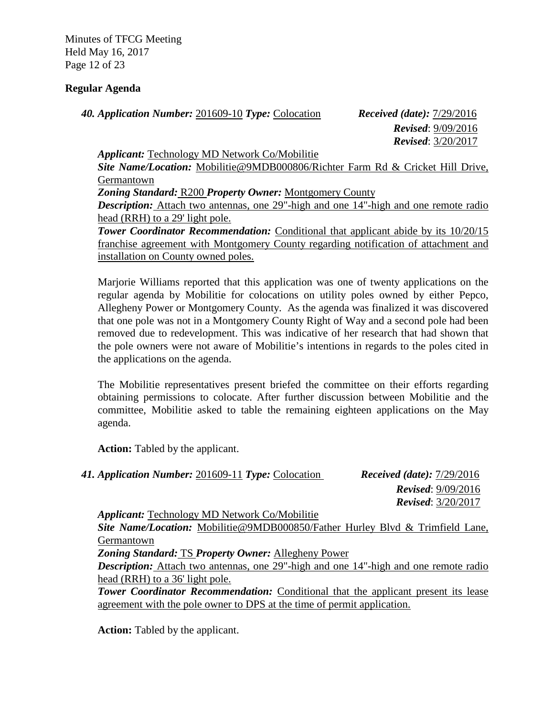Minutes of TFCG Meeting Held May 16, 2017 Page 12 of 23

# **Regular Agenda**

*40. Application Number:* 201609-10 *Type:* Colocation *Received (date):* 7/29/2016

 *Revised*: 9/09/2016 *Revised*: 3/20/2017

*Applicant:* Technology MD Network Co/Mobilitie *Site Name/Location:* Mobilitie@9MDB000806/Richter Farm Rd & Cricket Hill Drive, Germantown *Zoning Standard:* R200 *Property Owner:* Montgomery County *Description:* Attach two antennas, one 29"-high and one 14"-high and one remote radio head (RRH) to a 29' light pole. **Tower Coordinator Recommendation:** Conditional that applicant abide by its  $10/20/15$ franchise agreement with Montgomery County regarding notification of attachment and

installation on County owned poles.

Marjorie Williams reported that this application was one of twenty applications on the regular agenda by Mobilitie for colocations on utility poles owned by either Pepco, Allegheny Power or Montgomery County. As the agenda was finalized it was discovered that one pole was not in a Montgomery County Right of Way and a second pole had been removed due to redevelopment. This was indicative of her research that had shown that the pole owners were not aware of Mobilitie's intentions in regards to the poles cited in the applications on the agenda.

The Mobilitie representatives present briefed the committee on their efforts regarding obtaining permissions to colocate. After further discussion between Mobilitie and the committee, Mobilitie asked to table the remaining eighteen applications on the May agenda.

**Action:** Tabled by the applicant.

| 41. Application Number: 201609-11 Type: Colocation   | <i>Received (date):</i> $7/29/2016$ |
|------------------------------------------------------|-------------------------------------|
|                                                      | <b>Revised:</b> $9/09/2016$         |
|                                                      | <b>Revised:</b> $3/20/2017$         |
| <b>Applicant:</b> Technology MD Network Co/Mobilitie |                                     |

*Site Name/Location:* Mobilitie@9MDB000850/Father Hurley Blvd & Trimfield Lane, Germantown

*Zoning Standard:* TS *Property Owner:* Allegheny Power

*Description:* Attach two antennas, one 29"-high and one 14"-high and one remote radio head (RRH) to a 36' light pole.

**Tower Coordinator Recommendation:** Conditional that the applicant present its lease agreement with the pole owner to DPS at the time of permit application.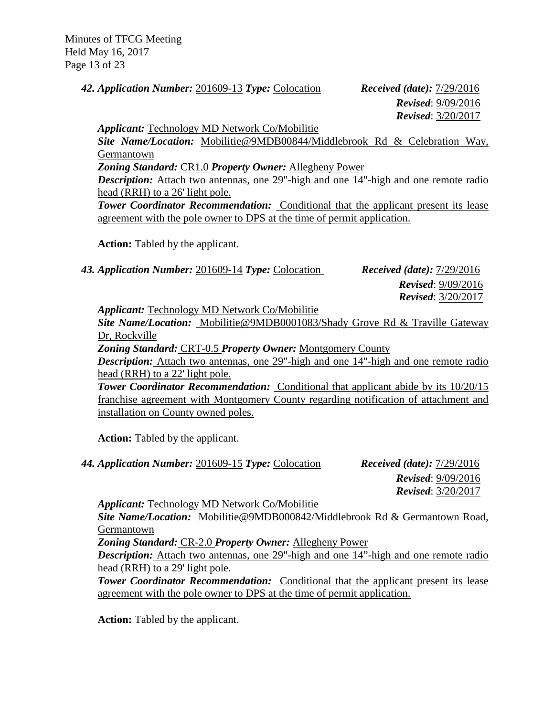Minutes of TFCG Meeting Held May 16, 2017 Page 13 of 23

*42. Application Number:* 201609-13 *Type:* Colocation *Received (date):* 7/29/2016

 *Revised*: 9/09/2016 *Revised*: 3/20/2017

*Applicant:* Technology MD Network Co/Mobilitie

*Site Name/Location:* Mobilitie@9MDB00844/Middlebrook Rd & Celebration Way, Germantown

*Zoning Standard:* CR1.0 *Property Owner:* Allegheny Power

*Description:* Attach two antennas, one 29"-high and one 14"-high and one remote radio head (RRH) to a 26' light pole.

*Tower Coordinator Recommendation:* Conditional that the applicant present its lease agreement with the pole owner to DPS at the time of permit application.

**Action:** Tabled by the applicant.

*43. Application Number:* 201609-14 *Type:* Colocation *Received (date):* 7/29/2016

 *Revised*: 9/09/2016 *Revised*: 3/20/2017

*Applicant:* Technology MD Network Co/Mobilitie

*Site Name/Location:* Mobilitie@9MDB0001083/Shady Grove Rd & Traville Gateway Dr, Rockville

*Zoning Standard:* CRT-0.5 *Property Owner:* Montgomery County

*Description:* Attach two antennas, one 29"-high and one 14"-high and one remote radio head (RRH) to a 22' light pole.

**Tower Coordinator Recommendation:** Conditional that applicant abide by its  $10/20/15$ franchise agreement with Montgomery County regarding notification of attachment and installation on County owned poles.

**Action:** Tabled by the applicant.

*44. Application Number:* 201609-15 *Type:* Colocation *Received (date):* 7/29/2016

 *Revised*: 9/09/2016 *Revised*: 3/20/2017

*Applicant:* Technology MD Network Co/Mobilitie

*Site Name/Location:* Mobilitie@9MDB000842/Middlebrook Rd & Germantown Road, Germantown

*Zoning Standard:* CR-2.0 *Property Owner:* Allegheny Power

*Description:* Attach two antennas, one 29"-high and one 14"-high and one remote radio head (RRH) to a 29' light pole.

**Tower Coordinator Recommendation:** Conditional that the applicant present its lease agreement with the pole owner to DPS at the time of permit application.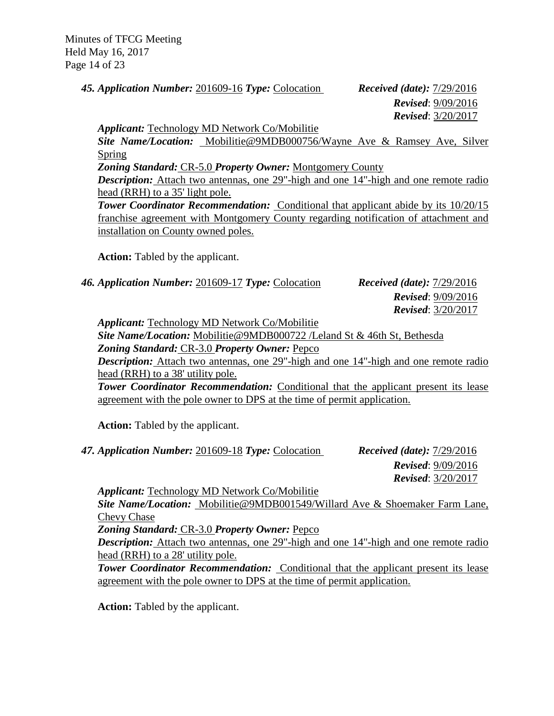Minutes of TFCG Meeting Held May 16, 2017 Page 14 of 23

*45. Application Number:* 201609-16 *Type:* Colocation *Received (date):* 7/29/2016

# *Revised*: 9/09/2016 *Revised*: 3/20/2017

*Applicant:* Technology MD Network Co/Mobilitie

*Site Name/Location:* Mobilitie@9MDB000756/Wayne Ave & Ramsey Ave, Silver Spring

*Zoning Standard:* CR-5.0 *Property Owner:* Montgomery County

*Description:* Attach two antennas, one 29"-high and one 14"-high and one remote radio head (RRH) to a 35' light pole.

**Tower Coordinator Recommendation:** Conditional that applicant abide by its  $10/20/15$ franchise agreement with Montgomery County regarding notification of attachment and installation on County owned poles.

**Action:** Tabled by the applicant.

*46. Application Number:* 201609-17 *Type:* Colocation *Received (date):* 7/29/2016

 *Revised*: 9/09/2016 *Revised*: 3/20/2017

*Applicant:* Technology MD Network Co/Mobilitie

*Site Name/Location:* Mobilitie@9MDB000722 /Leland St & 46th St, Bethesda

*Zoning Standard:* CR-3.0 *Property Owner:* Pepco

*Description:* Attach two antennas, one 29"-high and one 14"-high and one remote radio head (RRH) to a 38' utility pole.

**Tower Coordinator Recommendation:** Conditional that the applicant present its lease agreement with the pole owner to DPS at the time of permit application.

**Action:** Tabled by the applicant.

*47. Application Number:* 201609-18 *Type:* Colocation *Received (date):* 7/29/2016

 *Revised*: 9/09/2016 *Revised*: 3/20/2017

*Applicant:* Technology MD Network Co/Mobilitie

*Site Name/Location:* Mobilitie@9MDB001549/Willard Ave & Shoemaker Farm Lane, Chevy Chase

*Zoning Standard:* CR-3.0 *Property Owner:* Pepco

*Description:* Attach two antennas, one 29"-high and one 14"-high and one remote radio head (RRH) to a 28' utility pole.

**Tower Coordinator Recommendation:** Conditional that the applicant present its lease agreement with the pole owner to DPS at the time of permit application.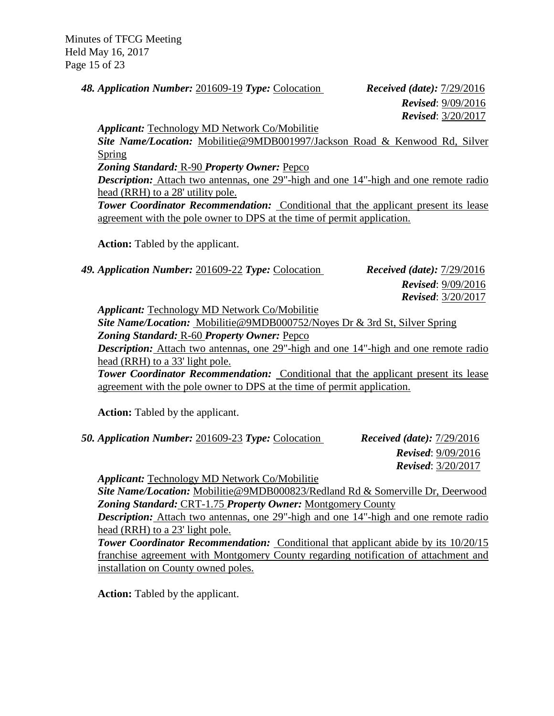Minutes of TFCG Meeting Held May 16, 2017 Page 15 of 23

*48. Application Number:* 201609-19 *Type:* Colocation *Received (date):* 7/29/2016

 *Revised*: 9/09/2016 *Revised*: 3/20/2017

*Applicant:* Technology MD Network Co/Mobilitie

*Site Name/Location:* Mobilitie@9MDB001997/Jackson Road & Kenwood Rd, Silver Spring

*Zoning Standard:* R-90 *Property Owner:* Pepco

*Description:* Attach two antennas, one 29"-high and one 14"-high and one remote radio head (RRH) to a 28' utility pole.

*Tower Coordinator Recommendation:* Conditional that the applicant present its lease agreement with the pole owner to DPS at the time of permit application.

**Action:** Tabled by the applicant.

*49. Application Number:* 201609-22 *Type:* Colocation *Received (date):* 7/29/2016

 *Revised*: 9/09/2016 *Revised*: 3/20/2017

*Applicant:* Technology MD Network Co/Mobilitie

*Site Name/Location:* Mobilitie@9MDB000752/Noyes Dr & 3rd St, Silver Spring *Zoning Standard:* R-60 *Property Owner:* Pepco

*Description:* Attach two antennas, one 29"-high and one 14"-high and one remote radio head (RRH) to a 33' light pole.

**Tower Coordinator Recommendation:** Conditional that the applicant present its lease agreement with the pole owner to DPS at the time of permit application.

**Action:** Tabled by the applicant.

*50. Application Number:* 201609-23 *Type:* Colocation *Received (date):* 7/29/2016  *Revised*: 9/09/2016 *Revised*: 3/20/2017

*Applicant:* Technology MD Network Co/Mobilitie

*Site Name/Location:* Mobilitie@9MDB000823/Redland Rd & Somerville Dr, Deerwood *Zoning Standard:* CRT-1.75 *Property Owner:* Montgomery County

*Description:* Attach two antennas, one 29"-high and one 14"-high and one remote radio head (RRH) to a 23' light pole.

**Tower Coordinator Recommendation:** Conditional that applicant abide by its  $10/20/15$ franchise agreement with Montgomery County regarding notification of attachment and installation on County owned poles.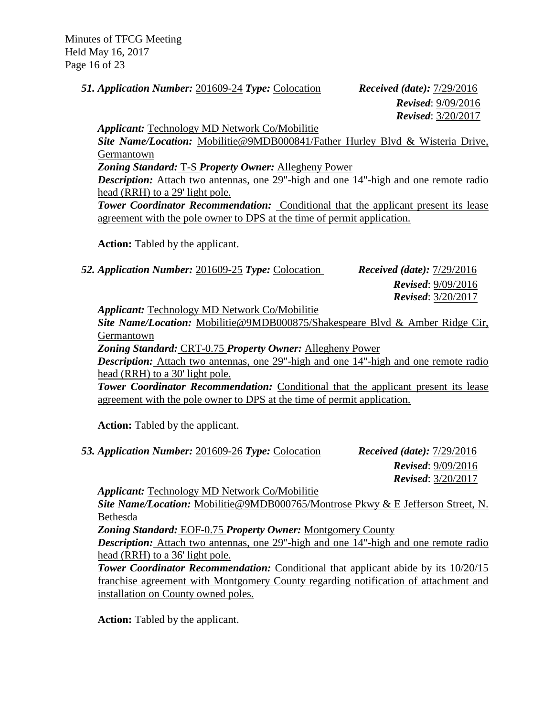Minutes of TFCG Meeting Held May 16, 2017 Page 16 of 23

*51. Application Number:* 201609-24 *Type:* Colocation *Received (date):* 7/29/2016

 *Revised*: 9/09/2016 *Revised*: 3/20/2017

*Applicant:* Technology MD Network Co/Mobilitie

*Site Name/Location:* Mobilitie@9MDB000841/Father Hurley Blvd & Wisteria Drive, Germantown

*Zoning Standard:* T-S *Property Owner:* Allegheny Power

*Description:* Attach two antennas, one 29"-high and one 14"-high and one remote radio head (RRH) to a 29' light pole.

*Tower Coordinator Recommendation:* Conditional that the applicant present its lease agreement with the pole owner to DPS at the time of permit application.

**Action:** Tabled by the applicant.

*52. Application Number:* 201609-25 *Type:* Colocation *Received (date):* 7/29/2016

 *Revised*: 9/09/2016 *Revised*: 3/20/2017

*Applicant:* Technology MD Network Co/Mobilitie

*Site Name/Location:* Mobilitie@9MDB000875/Shakespeare Blvd & Amber Ridge Cir, Germantown

*Zoning Standard:* CRT-0.75 *Property Owner:* Allegheny Power

*Description:* Attach two antennas, one 29"-high and one 14"-high and one remote radio head (RRH) to a 30' light pole.

**Tower Coordinator Recommendation:** Conditional that the applicant present its lease agreement with the pole owner to DPS at the time of permit application.

**Action:** Tabled by the applicant.

*53. Application Number:* 201609-26 *Type:* Colocation *Received (date):* 7/29/2016

*Revised*: 9/09/2016 *Revised*: 3/20/2017

*Applicant:* Technology MD Network Co/Mobilitie

*Site Name/Location:* Mobilitie@9MDB000765/Montrose Pkwy & E Jefferson Street, N. Bethesda

*Zoning Standard:* EOF-0.75 *Property Owner:* Montgomery County

*Description:* Attach two antennas, one 29"-high and one 14"-high and one remote radio head (RRH) to a 36' light pole.

**Tower Coordinator Recommendation:** Conditional that applicant abide by its  $10/20/15$ franchise agreement with Montgomery County regarding notification of attachment and installation on County owned poles.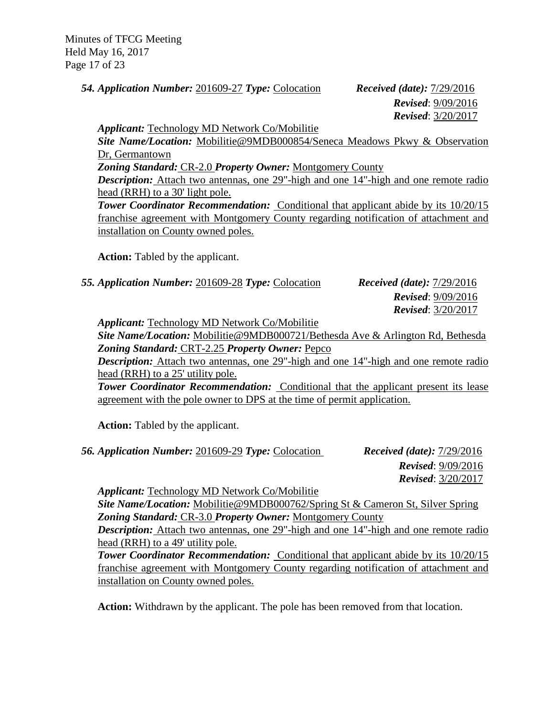Minutes of TFCG Meeting Held May 16, 2017 Page 17 of 23

*54. Application Number:* 201609-27 *Type:* Colocation *Received (date):* 7/29/2016

 *Revised*: 9/09/2016 *Revised*: 3/20/2017

*Applicant:* Technology MD Network Co/Mobilitie

*Site Name/Location:* Mobilitie@9MDB000854/Seneca Meadows Pkwy & Observation Dr, Germantown

*Zoning Standard:* CR-2.0 *Property Owner:* Montgomery County

*Description:* Attach two antennas, one 29"-high and one 14"-high and one remote radio head (RRH) to a 30' light pole.

**Tower Coordinator Recommendation:** Conditional that applicant abide by its  $10/20/15$ franchise agreement with Montgomery County regarding notification of attachment and installation on County owned poles.

**Action:** Tabled by the applicant.

*55. Application Number:* 201609-28 *Type:* Colocation *Received (date):* 7/29/2016

 *Revised*: 9/09/2016 *Revised*: 3/20/2017

*Applicant:* Technology MD Network Co/Mobilitie

*Site Name/Location:* Mobilitie@9MDB000721/Bethesda Ave & Arlington Rd, Bethesda *Zoning Standard:* CRT-2.25 *Property Owner:* Pepco

*Description:* Attach two antennas, one 29"-high and one 14"-high and one remote radio head (RRH) to a 25' utility pole.

**Tower Coordinator Recommendation:** Conditional that the applicant present its lease agreement with the pole owner to DPS at the time of permit application.

**Action:** Tabled by the applicant.

*56. Application Number:* 201609-29 *Type:* Colocation *Received (date):* 7/29/2016

 *Revised*: 9/09/2016 *Revised*: 3/20/2017

*Applicant:* Technology MD Network Co/Mobilitie

*Site Name/Location:* Mobilitie@9MDB000762/Spring St & Cameron St, Silver Spring *Zoning Standard:* CR-3.0 *Property Owner:* Montgomery County

*Description:* Attach two antennas, one 29"-high and one 14"-high and one remote radio head (RRH) to a 49' utility pole.

**Tower Coordinator Recommendation:** Conditional that applicant abide by its  $10/20/15$ franchise agreement with Montgomery County regarding notification of attachment and installation on County owned poles.

**Action:** Withdrawn by the applicant. The pole has been removed from that location.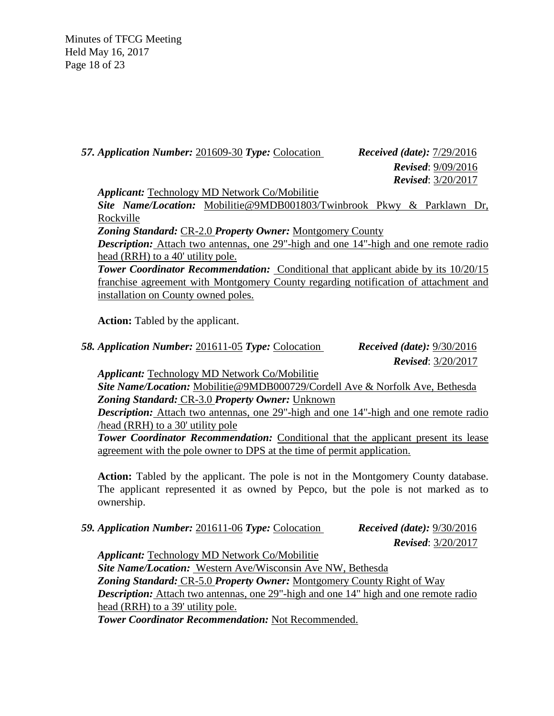Minutes of TFCG Meeting Held May 16, 2017 Page 18 of 23

*57. Application Number:* 201609-30 *Type:* Colocation *Received (date):* 7/29/2016

 *Revised*: 9/09/2016 *Revised*: 3/20/2017

*Applicant:* Technology MD Network Co/Mobilitie

*Site Name/Location:* Mobilitie@9MDB001803/Twinbrook Pkwy & Parklawn Dr, Rockville

*Zoning Standard:* CR-2.0 *Property Owner:* Montgomery County

*Description:* Attach two antennas, one 29"-high and one 14"-high and one remote radio head (RRH) to a 40' utility pole.

*Tower Coordinator Recommendation:* Conditional that applicant abide by its 10/20/15 franchise agreement with Montgomery County regarding notification of attachment and installation on County owned poles.

**Action:** Tabled by the applicant.

*58. Application Number:* 201611-05 *Type:* Colocation *Received (date):* 9/30/2016

 *Revised*: 3/20/2017

*Applicant:* Technology MD Network Co/Mobilitie

*Site Name/Location:* Mobilitie@9MDB000729/Cordell Ave & Norfolk Ave, Bethesda *Zoning Standard:* CR-3.0 *Property Owner:* Unknown

*Description:* Attach two antennas, one 29"-high and one 14"-high and one remote radio /head (RRH) to a 30' utility pole

**Tower Coordinator Recommendation:** Conditional that the applicant present its lease agreement with the pole owner to DPS at the time of permit application.

**Action:** Tabled by the applicant. The pole is not in the Montgomery County database. The applicant represented it as owned by Pepco, but the pole is not marked as to ownership.

*59. Application Number:* 201611-06 *Type:* Colocation *Received (date):* 9/30/2016  *Revised*: 3/20/2017

*Applicant:* Technology MD Network Co/Mobilitie *Site Name/Location:* Western Ave/Wisconsin Ave NW, Bethesda *Zoning Standard:* CR-5.0 *Property Owner:* Montgomery County Right of Way *Description:* Attach two antennas, one 29"-high and one 14" high and one remote radio head (RRH) to a 39' utility pole. *Tower Coordinator Recommendation:* Not Recommended.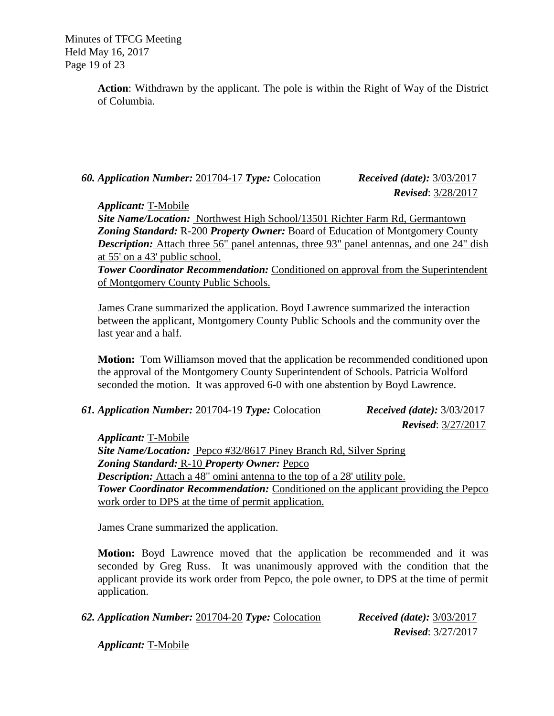Minutes of TFCG Meeting Held May 16, 2017 Page 19 of 23

> **Action**: Withdrawn by the applicant. The pole is within the Right of Way of the District of Columbia.

# *60. Application Number:* 201704-17 *Type:* Colocation *Received (date):* 3/03/2017

 *Revised*: 3/28/2017

*Applicant:* T-Mobile

*Site Name/Location:* Northwest High School/13501 Richter Farm Rd, Germantown *Zoning Standard:* R-200 *Property Owner:* Board of Education of Montgomery County *Description:* Attach three 56" panel antennas, three 93" panel antennas, and one 24" dish at 55' on a 43' public school.

**Tower Coordinator Recommendation:** Conditioned on approval from the Superintendent of Montgomery County Public Schools.

James Crane summarized the application. Boyd Lawrence summarized the interaction between the applicant, Montgomery County Public Schools and the community over the last year and a half.

**Motion:** Tom Williamson moved that the application be recommended conditioned upon the approval of the Montgomery County Superintendent of Schools. Patricia Wolford seconded the motion. It was approved 6-0 with one abstention by Boyd Lawrence.

*61. Application Number:* 201704-19 *Type:* Colocation *Received (date):* 3/03/2017

 *Revised*: 3/27/2017

*Applicant:* T-Mobile *Site Name/Location:* Pepco #32/8617 Piney Branch Rd, Silver Spring *Zoning Standard:* R-10 *Property Owner:* Pepco *Description:* Attach a 48" omini antenna to the top of a 28' utility pole. *Tower Coordinator Recommendation:* Conditioned on the applicant providing the Pepco work order to DPS at the time of permit application.

James Crane summarized the application.

**Motion:** Boyd Lawrence moved that the application be recommended and it was seconded by Greg Russ. It was unanimously approved with the condition that the applicant provide its work order from Pepco, the pole owner, to DPS at the time of permit application.

*62. Application Number:* 201704-20 *Type:* Colocation *Received (date):* 3/03/2017

 *Revised*: 3/27/2017

*Applicant:* T-Mobile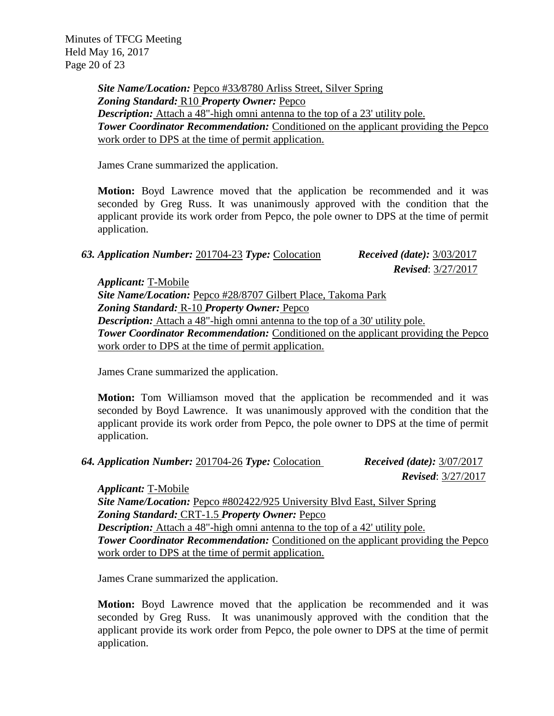*Site Name/Location:* Pepco #33*/*8780 Arliss Street, Silver Spring *Zoning Standard:* R10 *Property Owner:* Pepco *Description:* Attach a 48"-high omni antenna to the top of a 23' utility pole. **Tower Coordinator Recommendation:** Conditioned on the applicant providing the Pepco work order to DPS at the time of permit application.

James Crane summarized the application.

**Motion:** Boyd Lawrence moved that the application be recommended and it was seconded by Greg Russ. It was unanimously approved with the condition that the applicant provide its work order from Pepco, the pole owner to DPS at the time of permit application.

*63. Application Number:* 201704-23 *Type:* Colocation *Received (date):* 3/03/2017

 *Revised*: 3/27/2017

*Applicant:* T-Mobile *Site Name/Location:* Pepco #28/8707 Gilbert Place, Takoma Park *Zoning Standard:* R-10 *Property Owner:* Pepco *Description:* Attach a 48"-high omni antenna to the top of a 30' utility pole. **Tower Coordinator Recommendation:** Conditioned on the applicant providing the Pepco work order to DPS at the time of permit application.

James Crane summarized the application.

**Motion:** Tom Williamson moved that the application be recommended and it was seconded by Boyd Lawrence. It was unanimously approved with the condition that the applicant provide its work order from Pepco, the pole owner to DPS at the time of permit application.

*64. Application Number:* 201704-26 *Type:* Colocation *Received (date):* 3/07/2017

 *Revised*: 3/27/2017

*Applicant:* T-Mobile

*Site Name/Location:* Pepco #802422/925 University Blvd East, Silver Spring *Zoning Standard:* CRT-1.5 *Property Owner:* Pepco *Description:* Attach a 48"-high omni antenna to the top of a 42' utility pole. **Tower Coordinator Recommendation:** Conditioned on the applicant providing the Pepco work order to DPS at the time of permit application.

James Crane summarized the application.

**Motion:** Boyd Lawrence moved that the application be recommended and it was seconded by Greg Russ. It was unanimously approved with the condition that the applicant provide its work order from Pepco, the pole owner to DPS at the time of permit application.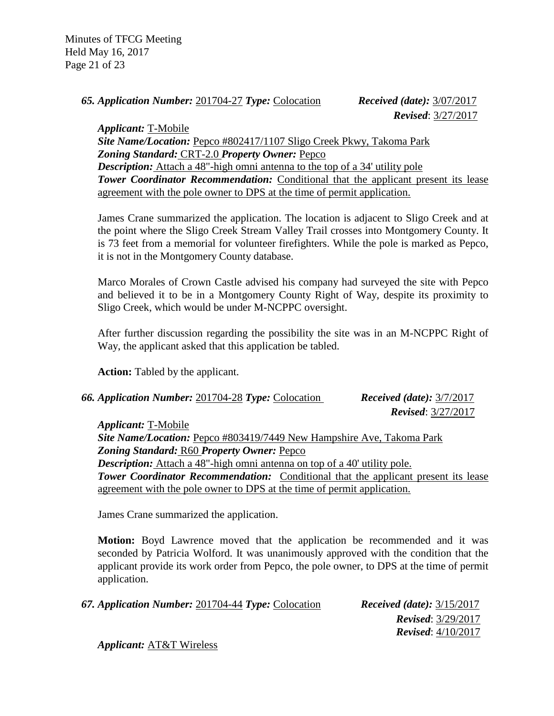Minutes of TFCG Meeting Held May 16, 2017 Page 21 of 23

*65. Application Number:* 201704-27 *Type:* Colocation *Received (date):* 3/07/2017

 *Revised*: 3/27/2017

*Applicant:* T-Mobile *Site Name/Location:* Pepco #802417/1107 Sligo Creek Pkwy, Takoma Park *Zoning Standard:* CRT-2.0 *Property Owner:* Pepco *Description:* Attach a 48"-high omni antenna to the top of a 34' utility pole **Tower Coordinator Recommendation:** Conditional that the applicant present its lease agreement with the pole owner to DPS at the time of permit application.

James Crane summarized the application. The location is adjacent to Sligo Creek and at the point where the Sligo Creek Stream Valley Trail crosses into Montgomery County. It is 73 feet from a memorial for volunteer firefighters. While the pole is marked as Pepco, it is not in the Montgomery County database.

Marco Morales of Crown Castle advised his company had surveyed the site with Pepco and believed it to be in a Montgomery County Right of Way, despite its proximity to Sligo Creek, which would be under M-NCPPC oversight.

After further discussion regarding the possibility the site was in an M-NCPPC Right of Way, the applicant asked that this application be tabled.

**Action:** Tabled by the applicant.

| 66. Application Number: 201704-28 Type: Colocation | <i>Received (date):</i> $3/7/2017$ |
|----------------------------------------------------|------------------------------------|
|                                                    | <b>Revised:</b> 3/27/2017          |

*Applicant:* T-Mobile *Site Name/Location:* Pepco #803419/7449 New Hampshire Ave, Takoma Park *Zoning Standard:* R60 *Property Owner:* Pepco *Description:* Attach a 48"-high omni antenna on top of a 40' utility pole. **Tower Coordinator Recommendation:** Conditional that the applicant present its lease agreement with the pole owner to DPS at the time of permit application.

James Crane summarized the application.

**Motion:** Boyd Lawrence moved that the application be recommended and it was seconded by Patricia Wolford. It was unanimously approved with the condition that the applicant provide its work order from Pepco, the pole owner, to DPS at the time of permit application.

| 67. Application Number: 201704-44 Type: Colocation | <i>Received (date):</i> $3/15/2017$ |
|----------------------------------------------------|-------------------------------------|
|                                                    | <b>Revised:</b> $3/29/2017$         |
|                                                    | <b>Revised:</b> $4/10/2017$         |
| $\lambda = 1$ : $\lambda$ T 0 T Wi-1.              |                                     |

*Applicant:* AT&T Wireless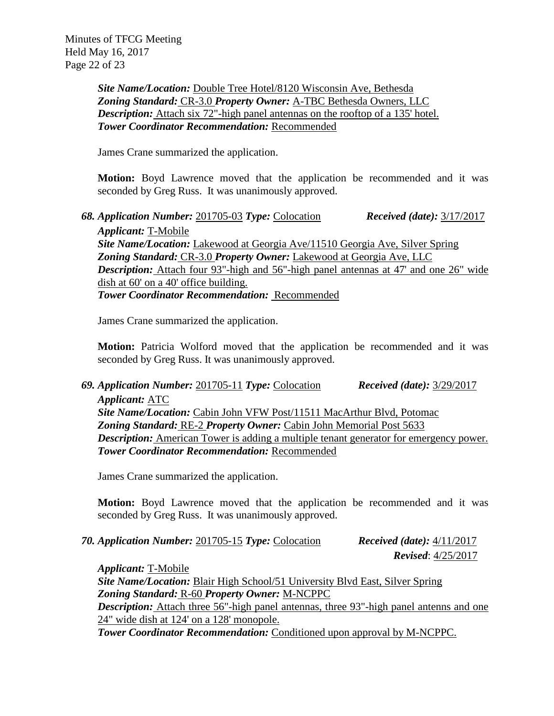Minutes of TFCG Meeting Held May 16, 2017 Page 22 of 23

> *Site Name/Location:* Double Tree Hotel/8120 Wisconsin Ave, Bethesda *Zoning Standard:* CR-3.0 *Property Owner:* A-TBC Bethesda Owners, LLC *Description:* Attach six 72"-high panel antennas on the rooftop of a 135' hotel. *Tower Coordinator Recommendation:* Recommended

James Crane summarized the application.

**Motion:** Boyd Lawrence moved that the application be recommended and it was seconded by Greg Russ. It was unanimously approved.

*68. Application Number:* 201705-03 *Type:* Colocation *Received (date):* 3/17/2017 *Applicant:* T-Mobile *Site Name/Location:* Lakewood at Georgia Ave/11510 Georgia Ave, Silver Spring *Zoning Standard:* CR-3.0 *Property Owner:* Lakewood at Georgia Ave, LLC *Description:* Attach four 93"-high and 56"-high panel antennas at 47' and one 26" wide dish at 60' on a 40' office building. *Tower Coordinator Recommendation:* Recommended

James Crane summarized the application.

**Motion:** Patricia Wolford moved that the application be recommended and it was seconded by Greg Russ. It was unanimously approved.

*69. Application Number:* 201705-11 *Type:* Colocation *Received (date):* 3/29/2017 *Applicant:* ATC *Site Name/Location:* Cabin John VFW Post/11511 MacArthur Blvd, Potomac *Zoning Standard:* RE-2 *Property Owner:* Cabin John Memorial Post 5633 *Description:* American Tower is adding a multiple tenant generator for emergency power. *Tower Coordinator Recommendation:* Recommended

James Crane summarized the application.

**Motion:** Boyd Lawrence moved that the application be recommended and it was seconded by Greg Russ. It was unanimously approved.

*70. Application Number:* 201705-15 *Type:* Colocation *Received (date):* 4/11/2017

 *Revised*: 4/25/2017

*Applicant:* T-Mobile *Site Name/Location:* Blair High School/51 University Blvd East, Silver Spring *Zoning Standard:* R-60 *Property Owner:* M-NCPPC *Description:* Attach three 56"-high panel antennas, three 93"-high panel antenns and one 24" wide dish at 124' on a 128' monopole. *Tower Coordinator Recommendation:* Conditioned upon approval by M-NCPPC.